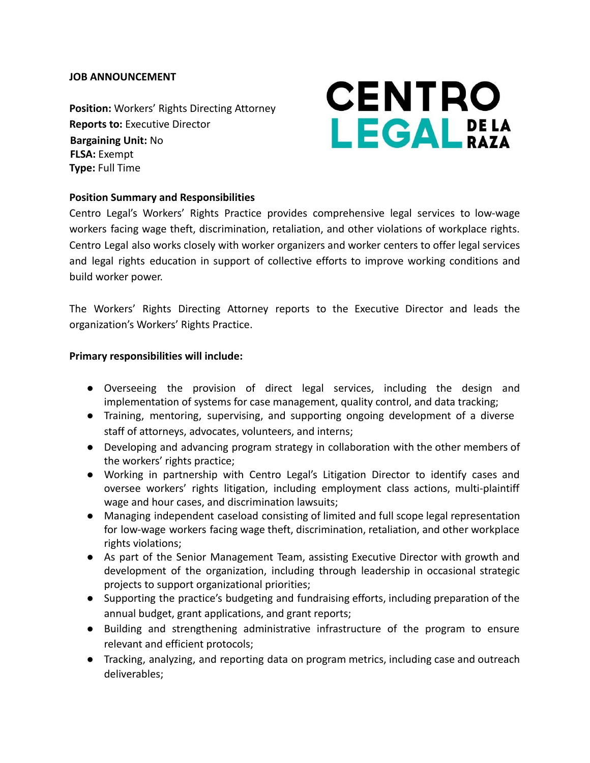## **JOB ANNOUNCEMENT**

**Position:** Workers' Rights Directing Attorney **Reports to:** Executive Director **Bargaining Unit:** No **FLSA:** Exempt **Type:** Full Time

# **CENTRO** LEGALPELA

## **Position Summary and Responsibilities**

Centro Legal's Workers' Rights Practice provides comprehensive legal services to low-wage workers facing wage theft, discrimination, retaliation, and other violations of workplace rights. Centro Legal also works closely with worker organizers and worker centers to offer legal services and legal rights education in support of collective efforts to improve working conditions and build worker power.

The Workers' Rights Directing Attorney reports to the Executive Director and leads the organization's Workers' Rights Practice.

#### **Primary responsibilities will include:**

- Overseeing the provision of direct legal services, including the design and implementation of systems for case management, quality control, and data tracking;
- Training, mentoring, supervising, and supporting ongoing development of a diverse staff of attorneys, advocates, volunteers, and interns;
- Developing and advancing program strategy in collaboration with the other members of the workers' rights practice;
- Working in partnership with Centro Legal's Litigation Director to identify cases and oversee workers' rights litigation, including employment class actions, multi-plaintiff wage and hour cases, and discrimination lawsuits;
- Managing independent caseload consisting of limited and full scope legal representation for low-wage workers facing wage theft, discrimination, retaliation, and other workplace rights violations;
- As part of the Senior Management Team, assisting Executive Director with growth and development of the organization, including through leadership in occasional strategic projects to support organizational priorities;
- Supporting the practice's budgeting and fundraising efforts, including preparation of the annual budget, grant applications, and grant reports;
- Building and strengthening administrative infrastructure of the program to ensure relevant and efficient protocols;
- Tracking, analyzing, and reporting data on program metrics, including case and outreach deliverables;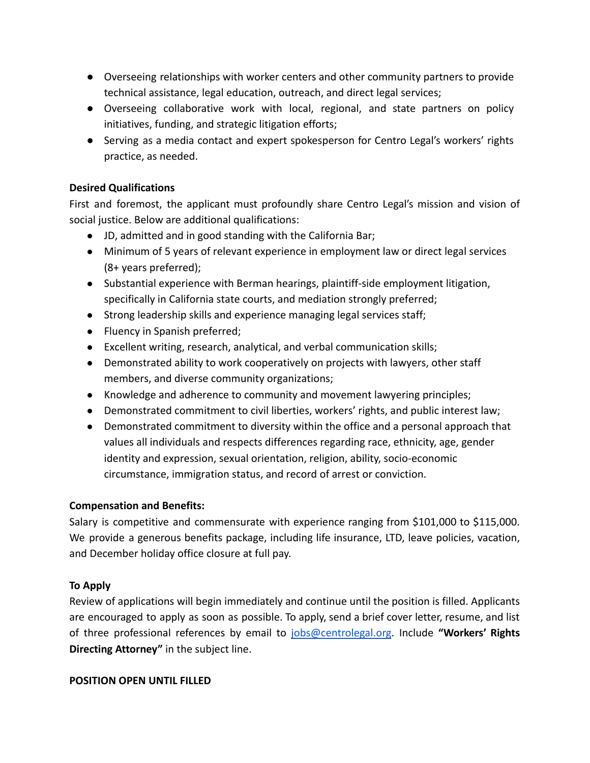- Overseeing relationships with worker centers and other community partners to provide technical assistance, legal education, outreach, and direct legal services;
- Overseeing collaborative work with local, regional, and state partners on policy initiatives, funding, and strategic litigation efforts;
- Serving as a media contact and expert spokesperson for Centro Legal's workers' rights practice, as needed.

## **Desired Qualifications**

First and foremost, the applicant must profoundly share Centro Legal's mission and vision of social justice. Below are additional qualifications:

- JD, admitted and in good standing with the California Bar;
- Minimum of 5 years of relevant experience in employment law or direct legal services (8+ years preferred);
- Substantial experience with Berman hearings, plaintiff-side employment litigation, specifically in California state courts, and mediation strongly preferred;
- Strong leadership skills and experience managing legal services staff;
- Fluency in Spanish preferred;
- Excellent writing, research, analytical, and verbal communication skills;
- Demonstrated ability to work cooperatively on projects with lawyers, other staff members, and diverse community organizations;
- Knowledge and adherence to community and movement lawyering principles;
- Demonstrated commitment to civil liberties, workers' rights, and public interest law;
- Demonstrated commitment to diversity within the office and a personal approach that values all individuals and respects differences regarding race, ethnicity, age, gender identity and expression, sexual orientation, religion, ability, socio-economic circumstance, immigration status, and record of arrest or conviction.

## **Compensation and Benefits:**

Salary is competitive and commensurate with experience ranging from \$101,000 to \$115,000. We provide a generous benefits package, including life insurance, LTD, leave policies, vacation, and December holiday office closure at full pay.

## **To Apply**

Review of applications will begin immediately and continue until the position is filled. Applicants are encouraged to apply as soon as possible. To apply, send a brief cover letter, resume, and list of three professional references by email to [jobs@centrolegal.org](mailto:jobs@centrolegal.org). Include **"Workers' Rights Directing Attorney"** in the subject line.

## **POSITION OPEN UNTIL FILLED**